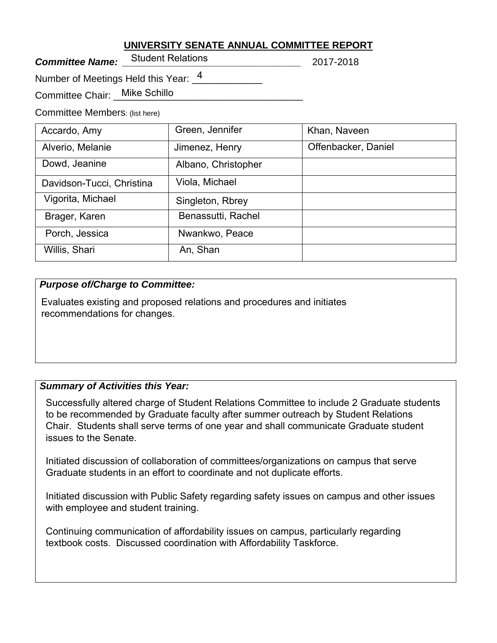## **UNIVERSITY SENATE ANNUAL COMMITTEE REPORT**

**Committee Name:** Julient Relations **Committee Name:** 2017-2018 Student Relations

Number of Meetings Held this Year:  $\frac{4}{2}$  \_\_\_\_\_\_\_\_\_\_\_

Committee Chair: \_\_Mike Schillo

Committee Members: (list here)

| Accardo, Amy              | Green, Jennifer     | Khan, Naveen        |
|---------------------------|---------------------|---------------------|
| Alverio, Melanie          | Jimenez, Henry      | Offenbacker, Daniel |
| Dowd, Jeanine             | Albano, Christopher |                     |
| Davidson-Tucci, Christina | Viola, Michael      |                     |
| Vigorita, Michael         | Singleton, Rbrey    |                     |
| Brager, Karen             | Benassutti, Rachel  |                     |
| Porch, Jessica            | Nwankwo, Peace      |                     |
| Willis, Shari             | An, Shan            |                     |

## *Purpose of/Charge to Committee:*

Evaluates existing and proposed relations and procedures and initiates recommendations for changes.

# *Summary of Activities this Year:*

Successfully altered charge of Student Relations Committee to include 2 Graduate students to be recommended by Graduate faculty after summer outreach by Student Relations Chair. Students shall serve terms of one year and shall communicate Graduate student issues to the Senate.

Initiated discussion of collaboration of committees/organizations on campus that serve Graduate students in an effort to coordinate and not duplicate efforts.

Initiated discussion with Public Safety regarding safety issues on campus and other issues with employee and student training.

Continuing communication of affordability issues on campus, particularly regarding textbook costs. Discussed coordination with Affordability Taskforce.